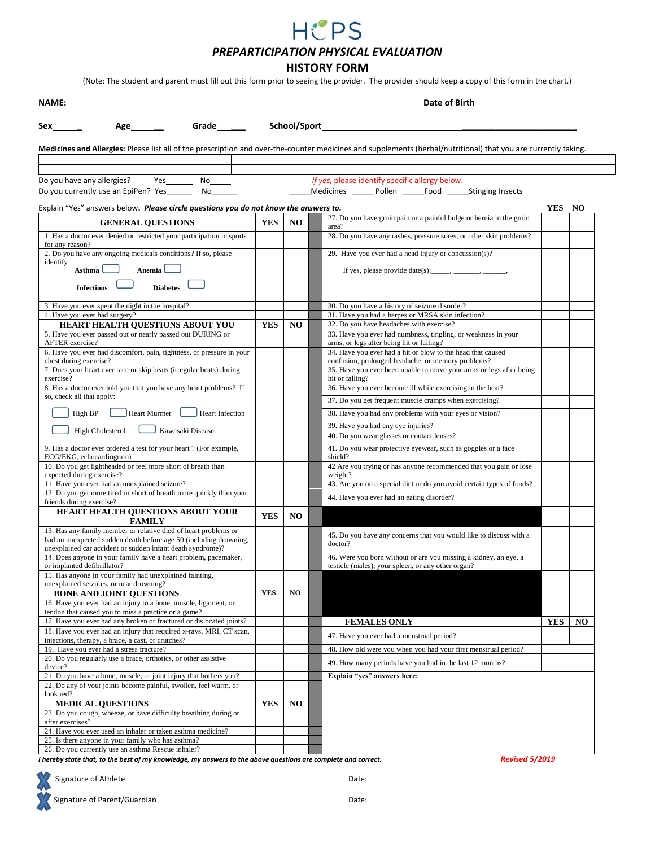

*PREPARTICIPATION PHYSICAL EVALUATION*

**HISTORY FORM**

(Note: The student and parent must fill out this form prior to seeing the provider. The provider should keep a copy of this form in the chart.)

| Date of Birth<br>NAME:                                                                                                                                                                             |            |                                                                      |                                                                                                                                                                 |            |                |  |
|----------------------------------------------------------------------------------------------------------------------------------------------------------------------------------------------------|------------|----------------------------------------------------------------------|-----------------------------------------------------------------------------------------------------------------------------------------------------------------|------------|----------------|--|
| Grade______<br>Sex<br>Age $\_\_\_\_\_\$                                                                                                                                                            |            |                                                                      |                                                                                                                                                                 |            |                |  |
|                                                                                                                                                                                                    |            |                                                                      |                                                                                                                                                                 |            |                |  |
|                                                                                                                                                                                                    |            |                                                                      | Medicines and Allergies: Please list all of the prescription and over-the-counter medicines and supplements (herbal/nutritional) that you are currently taking. |            |                |  |
|                                                                                                                                                                                                    |            |                                                                      |                                                                                                                                                                 |            |                |  |
| Do you have any allergies?<br>Yes<br>No<br>Do you currently use an EpiPen? Yes_____<br>No r                                                                                                        |            |                                                                      | If yes, please identify specific allergy below.<br>Medicines ______ Pollen ______ Food ______Stinging Insects                                                   |            |                |  |
|                                                                                                                                                                                                    |            |                                                                      |                                                                                                                                                                 | YES NO     |                |  |
| Explain "Yes" answers below. Please circle questions you do not know the answers to.                                                                                                               |            | 27. Do you have groin pain or a painful bulge or hernia in the groin |                                                                                                                                                                 |            |                |  |
| <b>YES</b><br>NO.<br><b>GENERAL QUESTIONS</b><br>area?                                                                                                                                             |            |                                                                      |                                                                                                                                                                 |            |                |  |
| 1. Has a doctor ever denied or restricted your participation in sports<br>for any reason?                                                                                                          |            |                                                                      | 28. Do you have any rashes, pressure sores, or other skin problems?                                                                                             |            |                |  |
| 2. Do you have any ongoing medicals conditions? If so, please                                                                                                                                      |            |                                                                      | 29. Have you ever had a head injury or concussion(s)?                                                                                                           |            |                |  |
| identify<br>Anemia <sup>l</sup><br>Asthma                                                                                                                                                          |            |                                                                      | If yes, please provide date(s): _____, ______, ______,                                                                                                          |            |                |  |
| <b>Diabetes</b><br><b>Infections</b>                                                                                                                                                               |            |                                                                      |                                                                                                                                                                 |            |                |  |
| 3. Have you ever spent the night in the hospital?                                                                                                                                                  |            |                                                                      | 30. Do you have a history of seizure disorder?                                                                                                                  |            |                |  |
| 4. Have you ever had surgery?                                                                                                                                                                      |            |                                                                      | 31. Have you had a herpes or MRSA skin infection?                                                                                                               |            |                |  |
| HEART HEALTH QUESTIONS ABOUT YOU                                                                                                                                                                   | <b>YES</b> | N <sub>O</sub>                                                       | 32. Do you have headaches with exercise?                                                                                                                        |            |                |  |
| 5. Have you ever passed out or nearly passed out DURING or<br><b>AFTER</b> exercise?                                                                                                               |            |                                                                      | 33. Have you ever had numbness, tingling, or weakness in your<br>arms, or legs after being hit or falling?                                                      |            |                |  |
| 6. Have you ever had discomfort, pain, tightness, or pressure in your                                                                                                                              |            |                                                                      | 34. Have you ever had a hit or blow to the head that caused                                                                                                     |            |                |  |
| chest during exercise?<br>7. Does your heart ever race or skip beats (irregular beats) during                                                                                                      |            |                                                                      | confusion, prolonged headache, or memory problems?<br>35. Have you ever been unable to move your arms or legs after being                                       |            |                |  |
| exercise?                                                                                                                                                                                          |            |                                                                      | hit or falling?                                                                                                                                                 |            |                |  |
| 8. Has a doctor ever told you that you have any heart problems? If<br>so, check all that apply:                                                                                                    |            |                                                                      | 36. Have you ever become ill while exercising in the heat?                                                                                                      |            |                |  |
|                                                                                                                                                                                                    |            |                                                                      | 37. Do you get frequent muscle cramps when exercising?                                                                                                          |            |                |  |
| High BP<br>Heart Murmer<br>Heart Infection                                                                                                                                                         |            |                                                                      | 38. Have you had any problems with your eyes or vision?                                                                                                         |            |                |  |
| Kawasaki Disease<br><b>High Cholesterol</b>                                                                                                                                                        |            |                                                                      | 39. Have you had any eye injuries?<br>40. Do you wear glasses or contact lenses?                                                                                |            |                |  |
| 9. Has a doctor ever ordered a test for your heart ? (For example,<br>ECG/EKG, echocardiogram)                                                                                                     |            |                                                                      | 41. Do you wear protective eyewear, such as goggles or a face<br>shield?                                                                                        |            |                |  |
| 10. Do you get lightheaded or feel more short of breath than                                                                                                                                       |            |                                                                      | 42 Are you trying or has anyone recommended that you gain or lose                                                                                               |            |                |  |
| expected during exercise?<br>11. Have you ever had an unexplained seizure?                                                                                                                         |            |                                                                      | weight?<br>43. Are you on a special diet or do you avoid certain types of foods?                                                                                |            |                |  |
| 12. Do you get more tired or short of breath more quickly than your<br>friends during exercise?                                                                                                    |            |                                                                      | 44. Have you ever had an eating disorder?                                                                                                                       |            |                |  |
| HEART HEALTH QUESTIONS ABOUT YOUR<br><b>FAMILY</b>                                                                                                                                                 | <b>YES</b> | NO.                                                                  |                                                                                                                                                                 |            |                |  |
| 13. Has any family member or relative died of heart problems or<br>had an unexpected sudden death before age 50 (including drowning,<br>unexplained car accident or sudden infant death syndrome)? |            |                                                                      | 45. Do you have any concerns that you would like to discuss with a<br>doctor?                                                                                   |            |                |  |
| 14. Does anyone in your family have a heart problem, pacemaker,<br>or implanted defibrillator?                                                                                                     |            |                                                                      | 46. Were you born without or are you missing a kidney, an eye, a<br>testicle (males), your spleen, or any other organ?                                          |            |                |  |
| 15. Has anyone in your family had unexplained fainting,                                                                                                                                            |            |                                                                      |                                                                                                                                                                 |            |                |  |
| unexplained seizures, or near drowning?<br><b>BONE AND JOINT OUESTIONS</b>                                                                                                                         | <b>YES</b> | N <sub>O</sub>                                                       |                                                                                                                                                                 |            |                |  |
| 16. Have you ever had an injury to a bone, muscle, ligament, or                                                                                                                                    |            |                                                                      |                                                                                                                                                                 |            |                |  |
| tendon that caused you to miss a practice or a game?<br>17. Have you ever had any broken or fractured or dislocated joints?                                                                        |            |                                                                      | <b>FEMALES ONLY</b>                                                                                                                                             | <b>YES</b> | N <sub>O</sub> |  |
| 18. Have you ever had an injury that required x-rays, MRI, CT scan,                                                                                                                                |            |                                                                      | 47. Have you ever had a menstrual period?                                                                                                                       |            |                |  |
| injections, therapy, a brace, a cast, or crutches?<br>19. Have you ever had a stress fracture?                                                                                                     |            |                                                                      | 48. How old were you when you had your first menstrual period?                                                                                                  |            |                |  |
| 20. Do you regularly use a brace, orthotics, or other assistive                                                                                                                                    |            |                                                                      |                                                                                                                                                                 |            |                |  |
| device?                                                                                                                                                                                            |            |                                                                      | 49. How many periods have you had in the last 12 months?                                                                                                        |            |                |  |
| 21. Do you have a bone, muscle, or joint injury that bothers you?<br>22. Do any of your joints become painful, swollen, feel warm, or                                                              |            |                                                                      | Explain "yes" answers here:                                                                                                                                     |            |                |  |
| look red?                                                                                                                                                                                          |            |                                                                      |                                                                                                                                                                 |            |                |  |
| <b>MEDICAL QUESTIONS</b><br>23. Do you cough, wheeze, or have difficulty breathing during or                                                                                                       | <b>YES</b> | NO.                                                                  |                                                                                                                                                                 |            |                |  |
| after exercises?                                                                                                                                                                                   |            |                                                                      |                                                                                                                                                                 |            |                |  |
| 24. Have you ever used an inhaler or taken asthma medicine?<br>25. Is there anyone in your family who has asthma?                                                                                  |            |                                                                      |                                                                                                                                                                 |            |                |  |
| 26. Do you currently use an asthma Rescue inhaler?                                                                                                                                                 |            |                                                                      |                                                                                                                                                                 |            |                |  |
|                                                                                                                                                                                                    |            |                                                                      |                                                                                                                                                                 |            |                |  |

*I hereby state that, to the best of my knowledge, my answers to the above questions are complete and correct. Revised 5/2019*

Signature of Athlete Date: